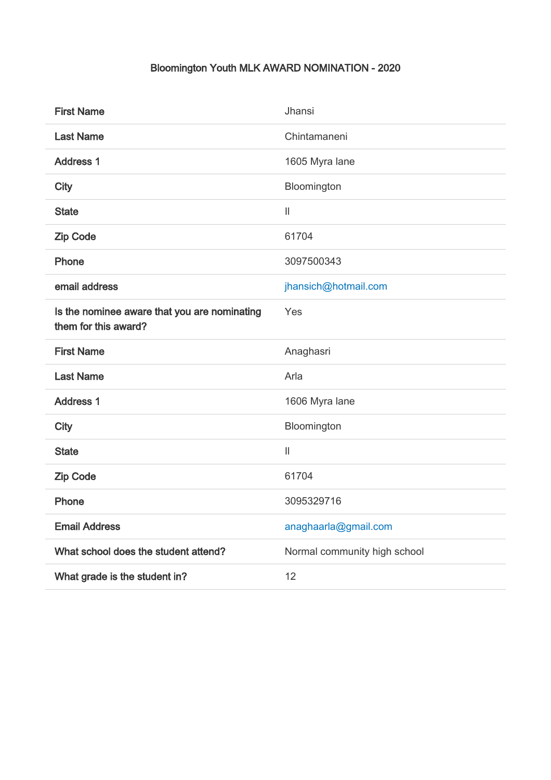## Bloomington Youth MLK AWARD NOMINATION - 2020

| <b>First Name</b>                                                    | Jhansi                       |
|----------------------------------------------------------------------|------------------------------|
| <b>Last Name</b>                                                     | Chintamaneni                 |
| <b>Address 1</b>                                                     | 1605 Myra lane               |
| <b>City</b>                                                          | Bloomington                  |
| <b>State</b>                                                         | $\ensuremath{\mathsf{II}}$   |
| <b>Zip Code</b>                                                      | 61704                        |
| Phone                                                                | 3097500343                   |
| email address                                                        | jhansich@hotmail.com         |
| Is the nominee aware that you are nominating<br>them for this award? | Yes                          |
| <b>First Name</b>                                                    | Anaghasri                    |
| <b>Last Name</b>                                                     | Arla                         |
| <b>Address 1</b>                                                     | 1606 Myra lane               |
| <b>City</b>                                                          | Bloomington                  |
| <b>State</b>                                                         | $\ensuremath{\mathsf{II}}$   |
| <b>Zip Code</b>                                                      | 61704                        |
| Phone                                                                | 3095329716                   |
| <b>Email Address</b>                                                 | anaghaarla@gmail.com         |
| What school does the student attend?                                 |                              |
|                                                                      | Normal community high school |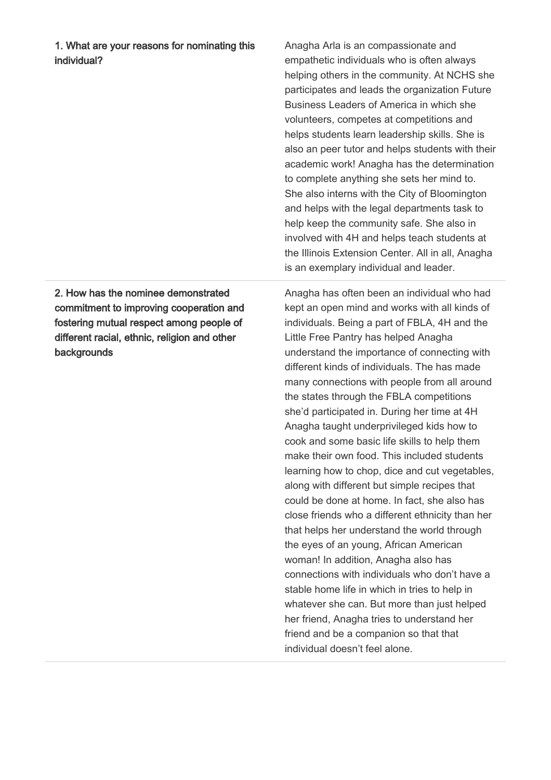1. What are your reasons for nominating this individual?

2. How has the nominee demonstrated commitment to improving cooperation and fostering mutual respect among people of different racial, ethnic, religion and other **backgrounds** 

Anagha Arla is an compassionate and empathetic individuals who is often always helping others in the community. At NCHS she participates and leads the organization Future Business Leaders of America in which she volunteers, competes at competitions and helps students learn leadership skills. She is also an peer tutor and helps students with their academic work! Anagha has the determination to complete anything she sets her mind to. She also interns with the City of Bloomington and helps with the legal departments task to help keep the community safe. She also in involved with 4H and helps teach students at the Illinois Extension Center. All in all, Anagha is an exemplary individual and leader.

Anagha has often been an individual who had kept an open mind and works with all kinds of individuals. Being a part of FBLA, 4H and the Little Free Pantry has helped Anagha understand the importance of connecting with different kinds of individuals. The has made many connections with people from all around the states through the FBLA competitions she'd participated in. During her time at 4H Anagha taught underprivileged kids how to cook and some basic life skills to help them make their own food. This included students learning how to chop, dice and cut vegetables, along with different but simple recipes that could be done at home. In fact, she also has close friends who a different ethnicity than her that helps her understand the world through the eyes of an young, African American woman! In addition, Anagha also has connections with individuals who don't have a stable home life in which in tries to help in whatever she can. But more than just helped her friend, Anagha tries to understand her friend and be a companion so that that individual doesn't feel alone.